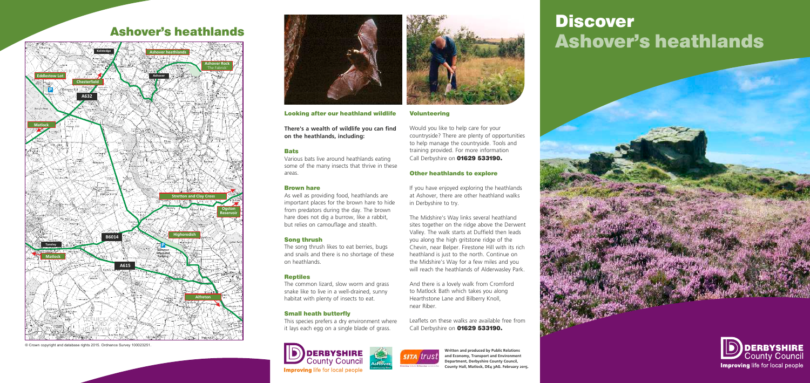# Ashover's heathlands Discover





Looking after our heathland wildlife

**There's a wealth of wildlife you can find on the heathlands, including:**

### **Bats**

Various bats live around heathlands eating some of the many insects that thrive in these areas.

#### Brown hare

As well as providing food, heathlands are important places for the brown hare to hide from predators during the day. The brown hare does not dig a burrow, like a rabbit, but relies on camouflage and stealth.

Would you like to help care for your countryside? There are plenty of opportunities to help manage the countryside. Tools and training provided. For more information Call Derbyshire on **01629 533190.** 

### Song thrush

The song thrush likes to eat berries, bugs and snails and there is no shortage of these on heathlands.

### Reptiles

The common lizard, slow worm and grass snake like to live in a well-drained, sunny habitat with plenty of insects to eat.

### Small heath butterfly

This species prefers a dry environment where it lays each egg on a single blade of grass.





### Volunteering

Leaflets on these walks are available free from Call Derbyshire on **01629 533190.** 



### Other heathlands to explore

If you have enjoyed exploring the heathlands at Ashover, there are other heathland walks in Derbyshire to try.

The Midshire's Way links several heathland sites together on the ridge above the Derwent Valley. The walk starts at Duffield then leads you along the high gritstone ridge of the Chevin, near Belper. Firestone Hill with its rich heathland is just to the north. Continue on the Midshire's Way for a few miles and you will reach the heathlands of Alderwasley Park.

And there is a lovely walk from Cromford to Matlock Bath which takes you along Hearthstone Lane and Bilberry Knoll, near Riber.

> **Written and produced by Public Relations and Economy, Transport and Environment Department, Derbyshire County Council, County Hall, Matlock, DE4 3AG. February 2015.**

## Ashover's heathlands



© Crown copyright and database rights 2015. Ordnance Survey 100023251.